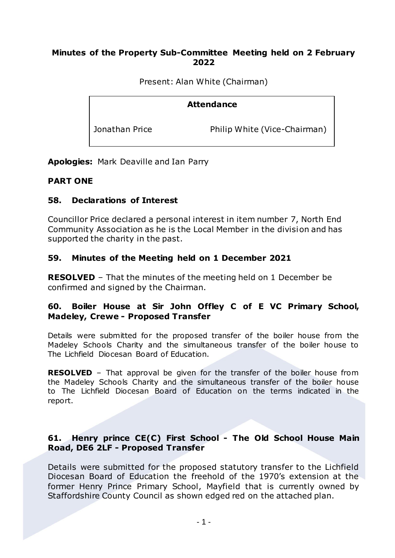#### **Minutes of the Property Sub-Committee Meeting held on 2 February 2022**

Present: Alan White (Chairman)

# **Attendance**

Jonathan Price Philip White (Vice-Chairman)

**Apologies:** Mark Deaville and Ian Parry

#### **PART ONE**

## **58. Declarations of Interest**

Councillor Price declared a personal interest in item number 7, North End Community Association as he is the Local Member in the division and has supported the charity in the past.

#### **59. Minutes of the Meeting held on 1 December 2021**

**RESOLVED** – That the minutes of the meeting held on 1 December be confirmed and signed by the Chairman.

## **60. Boiler House at Sir John Offley C of E VC Primary School, Madeley, Crewe - Proposed Transfer**

Details were submitted for the proposed transfer of the boiler house from the Madeley Schools Charity and the simultaneous transfer of the boiler house to The Lichfield Diocesan Board of Education.

**RESOLVED** – That approval be given for the transfer of the boiler house from the Madeley Schools Charity and the simultaneous transfer of the boiler house to The Lichfield Diocesan Board of Education on the terms indicated in the report.

## **61. Henry prince CE(C) First School - The Old School House Main Road, DE6 2LF - Proposed Transfer**

Details were submitted for the proposed statutory transfer to the Lichfield Diocesan Board of Education the freehold of the 1970's extension at the former Henry Prince Primary School, Mayfield that is currently owned by Staffordshire County Council as shown edged red on the attached plan.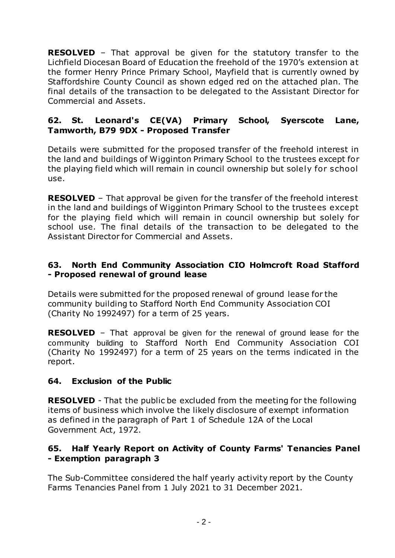**RESOLVED** – That approval be given for the statutory transfer to the Lichfield Diocesan Board of Education the freehold of the 1970's extension at the former Henry Prince Primary School, Mayfield that is currently owned by Staffordshire County Council as shown edged red on the attached plan. The final details of the transaction to be delegated to the Assistant Director for Commercial and Assets.

# **62. St. Leonard's CE(VA) Primary School, Syerscote Lane, Tamworth, B79 9DX - Proposed Transfer**

Details were submitted for the proposed transfer of the freehold interest in the land and buildings of Wigginton Primary School to the trustees except for the playing field which will remain in council ownership but solely for school use.

**RESOLVED** – That approval be given for the transfer of the freehold interest in the land and buildings of Wigginton Primary School to the trustees except for the playing field which will remain in council ownership but solely for school use. The final details of the transaction to be delegated to the Assistant Director for Commercial and Assets.

# **63. North End Community Association CIO Holmcroft Road Stafford - Proposed renewal of ground lease**

Details were submitted for the proposed renewal of ground lease for the community building to Stafford North End Community Association COI (Charity No 1992497) for a term of 25 years.

**RESOLVED** – That approval be given for the renewal of ground lease for the community building to Stafford North End Community Association COI (Charity No 1992497) for a term of 25 years on the terms indicated in the report.

# **64. Exclusion of the Public**

**RESOLVED** - That the public be excluded from the meeting for the following items of business which involve the likely disclosure of exempt information as defined in the paragraph of Part 1 of Schedule 12A of the Local Government Act, 1972.

## **65. Half Yearly Report on Activity of County Farms' Tenancies Panel - Exemption paragraph 3**

The Sub-Committee considered the half yearly activity report by the County Farms Tenancies Panel from 1 July 2021 to 31 December 2021.